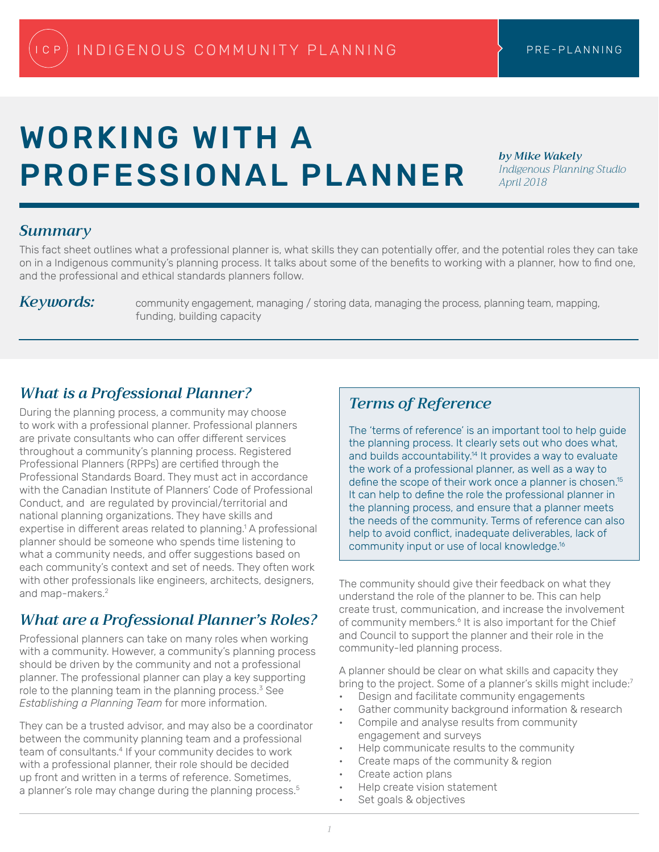# WORKING WITH A PROFESSIONAL PLANNER

*by Mike Wakely Indigenous Planning Studio April 2018*

#### *Summary*

This fact sheet outlines what a professional planner is, what skills they can potentially offer, and the potential roles they can take on in a Indigenous community's planning process. It talks about some of the benefits to working with a planner, how to find one, and the professional and ethical standards planners follow.

*Keywords:* community engagement, managing / storing data, managing the process, planning team, mapping, funding, building capacity

# *What is a Professional Planner?*

During the planning process, a community may choose to work with a professional planner. Professional planners are private consultants who can offer different services throughout a community's planning process. Registered Professional Planners (RPPs) are certified through the Professional Standards Board. They must act in accordance with the Canadian Institute of Planners' Code of Professional Conduct, and are regulated by provincial/territorial and national planning organizations. They have skills and expertise in different areas related to planning.<sup>1</sup> A professional planner should be someone who spends time listening to what a community needs, and offer suggestions based on each community's context and set of needs. They often work with other professionals like engineers, architects, designers, and map-makers.<sup>2</sup>

# *What are a Professional Planner's Roles?*

Professional planners can take on many roles when working with a community. However, a community's planning process should be driven by the community and not a professional planner. The professional planner can play a key supporting role to the planning team in the planning process. $3$  See *Establishing a Planning Team* for more information.

They can be a trusted advisor, and may also be a coordinator between the community planning team and a professional team of consultants.<sup>4</sup> If your community decides to work with a professional planner, their role should be decided up front and written in a terms of reference. Sometimes, a planner's role may change during the planning process.<sup>5</sup>

## *Terms of Reference*

The 'terms of reference' is an important tool to help guide the planning process. It clearly sets out who does what, and builds accountability.<sup>14</sup> It provides a way to evaluate the work of a professional planner, as well as a way to define the scope of their work once a planner is chosen.<sup>15</sup> It can help to define the role the professional planner in the planning process, and ensure that a planner meets the needs of the community. Terms of reference can also help to avoid conflict, inadequate deliverables, lack of community input or use of local knowledge.16

The community should give their feedback on what they understand the role of the planner to be. This can help create trust, communication, and increase the involvement of community members.<sup>6</sup> It is also important for the Chief and Council to support the planner and their role in the community-led planning process.

A planner should be clear on what skills and capacity they bring to the project. Some of a planner's skills might include:<sup>7</sup>

- Design and facilitate community engagements
- Gather community background information & research
- Compile and analyse results from community engagement and surveys
- Help communicate results to the community
- Create maps of the community & region
- Create action plans
- Help create vision statement
- Set goals & objectives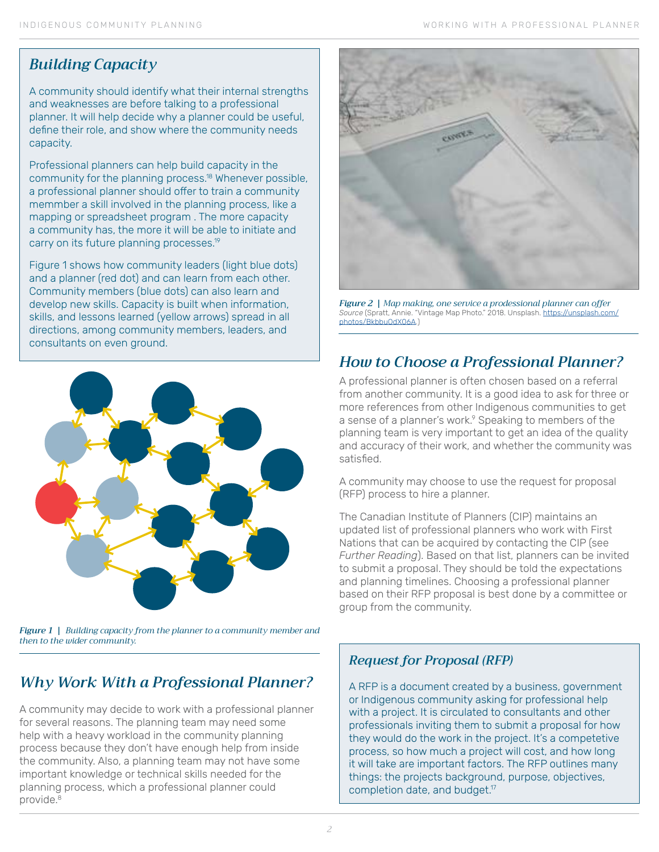## *Building Capacity*

A community should identify what their internal strengths and weaknesses are before talking to a professional planner. It will help decide why a planner could be useful, define their role, and show where the community needs capacity.

Professional planners can help build capacity in the community for the planning process.<sup>18</sup> Whenever possible, a professional planner should offer to train a community memmber a skill involved in the planning process, like a mapping or spreadsheet program . The more capacity a community has, the more it will be able to initiate and carry on its future planning processes.<sup>19</sup>

Figure 1 shows how community leaders (light blue dots) and a planner (red dot) and can learn from each other. Community members (blue dots) can also learn and develop new skills. Capacity is built when information, skills, and lessons learned (yellow arrows) spread in all directions, among community members, leaders, and consultants on even ground.



*Figure 1 | Building capacity from the planner to a community member and then to the wider community.* 

# *Why Work With a Professional Planner?*

A community may decide to work with a professional planner for several reasons. The planning team may need some help with a heavy workload in the community planning process because they don't have enough help from inside the community. Also, a planning team may not have some important knowledge or technical skills needed for the planning process, which a professional planner could provide.<sup>8</sup>



*Figure 2 | Map making, one service a prodessional planner can offer Source* (Spratt, Annie. "Vintage Map Photo." 2018. Unsplash. [https://unsplash.com/](https://unsplash.com/photos/BkbbuOdX06A) [photos/BkbbuOdX06A](https://unsplash.com/photos/BkbbuOdX06A).)

# *How to Choose a Professional Planner?*

A professional planner is often chosen based on a referral from another community. It is a good idea to ask for three or more references from other Indigenous communities to get a sense of a planner's work.<sup>9</sup> Speaking to members of the planning team is very important to get an idea of the quality and accuracy of their work, and whether the community was satisfied.

A community may choose to use the request for proposal (RFP) process to hire a planner.

The Canadian Institute of Planners (CIP) maintains an updated list of professional planners who work with First Nations that can be acquired by contacting the CIP (see *Further Reading*). Based on that list, planners can be invited to submit a proposal. They should be told the expectations and planning timelines. Choosing a professional planner based on their RFP proposal is best done by a committee or group from the community.

#### *Request for Proposal (RFP)*

A RFP is a document created by a business, government or Indigenous community asking for professional help with a project. It is circulated to consultants and other professionals inviting them to submit a proposal for how they would do the work in the project. It's a competetive process, so how much a project will cost, and how long it will take are important factors. The RFP outlines many things: the projects background, purpose, objectives, completion date, and budget.<sup>17</sup>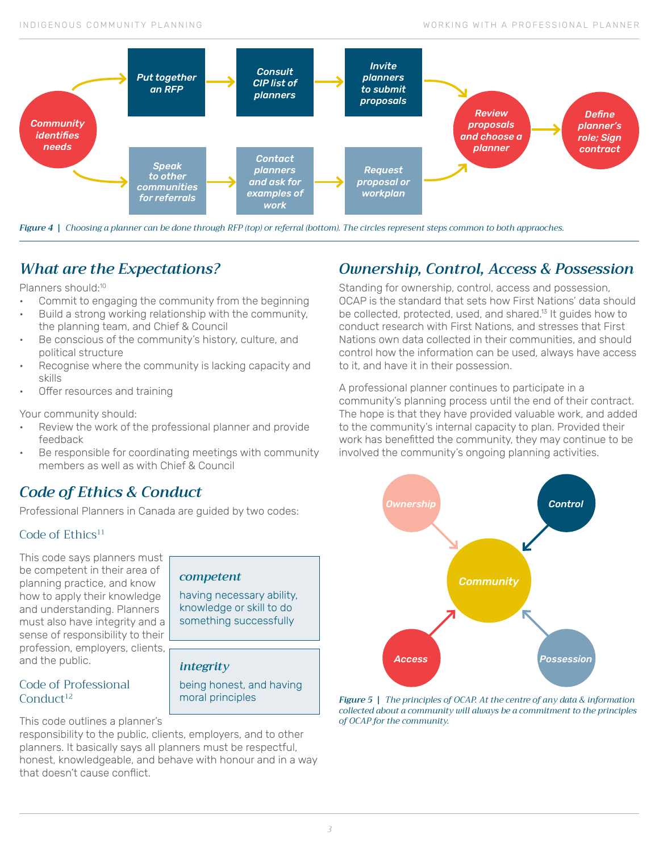

*Figure 4 | Choosing a planner can be done through RFP (top) or referral (bottom). The circles represent steps common to both appraoches.*

# *What are the Expectations?*

Planners should:<sup>10</sup>

- Commit to engaging the community from the beginning
- Build a strong working relationship with the community, the planning team, and Chief & Council
- Be conscious of the community's history, culture, and political structure
- Recognise where the community is lacking capacity and skills
- Offer resources and training

Your community should:

- Review the work of the professional planner and provide feedback
- Be responsible for coordinating meetings with community members as well as with Chief & Council

*competent*

*integrity*

having necessary ability, knowledge or skill to do something successfully

being honest, and having

### *Code of Ethics & Conduct*

Professional Planners in Canada are guided by two codes:

#### Code of  $E$ thics<sup>11</sup>

This code says planners must be competent in their area of planning practice, and know how to apply their knowledge and understanding. Planners must also have integrity and a sense of responsibility to their profession, employers, clients, and the public.

#### Code of Professional Conduct<sup>12</sup>

This code outlines a planner's

responsibility to the public, clients, employers, and to other planners. It basically says all planners must be respectful, honest, knowledgeable, and behave with honour and in a way that doesn't cause conflict.

## *Ownership, Control, Access & Possession*

Standing for ownership, control, access and possession, OCAP is the standard that sets how First Nations' data should be collected, protected, used, and shared.<sup>13</sup> It guides how to conduct research with First Nations, and stresses that First Nations own data collected in their communities, and should control how the information can be used, always have access to it, and have it in their possession.

A professional planner continues to participate in a community's planning process until the end of their contract. The hope is that they have provided valuable work, and added to the community's internal capacity to plan. Provided their work has benefitted the community, they may continue to be involved the community's ongoing planning activities.



moral principles *Figure 5 | The principles of OCAP. At the centre of any data & information collected about a community will always be a commitment to the principles of OCAP for the community.*